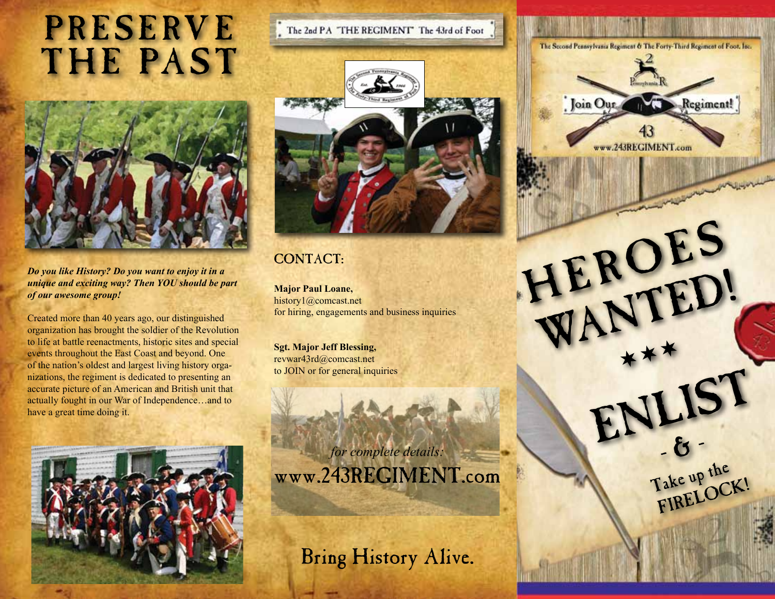## **PRESERVE** THE PAST



*Do you like History? Do you want to enjoy it in a unique and exciting way? Then YOU should be part of our awesome group!* 

Created more than 40 years ago, our distinguished organization has brought the soldier of the Revolution to life at battle reenactments, historic sites and special events throughout the East Coast and beyond. One of the nation's oldest and largest living history organizations, the regiment is dedicated to presenting an accurate picture of an American and British unit that actually fought in our War of Independence…and to have a great time doing it.





## CONTACT:

**Major Paul Loane,** history1@comcast.net for hiring, engagements and business inquiries

**Sgt. Major Jeff Blessing,** revwar43rd@comcast.net to JOIN or for general inquiries

*for complete details:* www.243REGIMENT.com

Bring History Alive.



HEROES

HENTED!

 $+$   $+$   $+$ 

ENLIST

Take up the

Take up OCK!